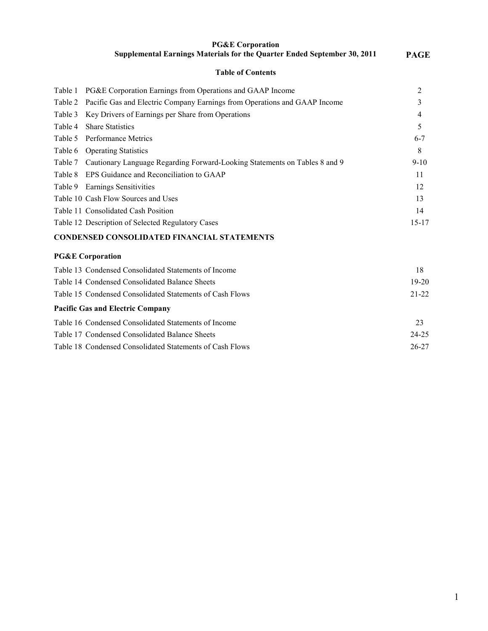| <b>PG&amp;E Corporation</b>                                                     |             |
|---------------------------------------------------------------------------------|-------------|
| <b>Supplemental Earnings Materials for the Quarter Ended September 30, 2011</b> | <b>PAGE</b> |

|  | <b>Table of Contents</b> |
|--|--------------------------|
|  |                          |

| Table 1 | PG&E Corporation Earnings from Operations and GAAP Income                          | 2         |
|---------|------------------------------------------------------------------------------------|-----------|
|         | Table 2 Pacific Gas and Electric Company Earnings from Operations and GAAP Income  | 3         |
|         | Table 3 Key Drivers of Earnings per Share from Operations                          | 4         |
| Table 4 | <b>Share Statistics</b>                                                            | 5         |
|         | Table 5 Performance Metrics                                                        | $6 - 7$   |
|         | Table 6 Operating Statistics                                                       | 8         |
|         | Table 7 Cautionary Language Regarding Forward-Looking Statements on Tables 8 and 9 | $9 - 10$  |
|         | Table 8 EPS Guidance and Reconciliation to GAAP                                    | 11        |
|         | Table 9 Earnings Sensitivities                                                     | 12        |
|         | Table 10 Cash Flow Sources and Uses                                                | 13        |
|         | Table 11 Consolidated Cash Position                                                | 14        |
|         | Table 12 Description of Selected Regulatory Cases                                  | $15 - 17$ |
|         |                                                                                    |           |

# **CONDENSED CONSOLIDATED FINANCIAL STATEMENTS**

#### **PG&E Corporation**

| Table 13 Condensed Consolidated Statements of Income     | 18        |
|----------------------------------------------------------|-----------|
| Table 14 Condensed Consolidated Balance Sheets           | $19-20$   |
| Table 15 Condensed Consolidated Statements of Cash Flows | $21 - 22$ |
| <b>Pacific Gas and Electric Company</b>                  |           |
| Table 16 Condensed Consolidated Statements of Income     | 23        |
| Table 17 Condensed Consolidated Balance Sheets           | $24 - 25$ |
| Table 18 Condensed Consolidated Statements of Cash Flows | 26-27     |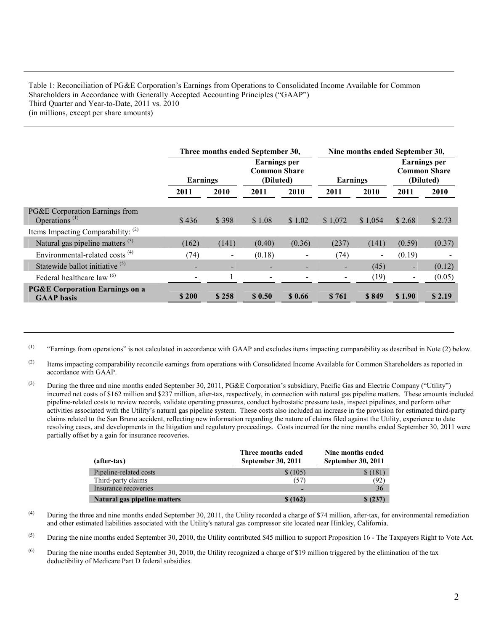## Table 1: Reconciliation of PG&E Corporation's Earnings from Operations to Consolidated Income Available for Common Shareholders in Accordance with Generally Accepted Accounting Principles ("GAAP") Third Quarter and Year-to-Date, 2011 vs. 2010 (in millions, except per share amounts)

|                                                                          | Three months ended September 30, |       | Nine months ended September 30,                         |                          |                          |                |                          |                                                         |
|--------------------------------------------------------------------------|----------------------------------|-------|---------------------------------------------------------|--------------------------|--------------------------|----------------|--------------------------|---------------------------------------------------------|
|                                                                          | Earnings                         |       | <b>Earnings per</b><br><b>Common Share</b><br>(Diluted) |                          | <b>Earnings</b>          |                |                          | <b>Earnings per</b><br><b>Common Share</b><br>(Diluted) |
|                                                                          | 2011                             | 2010  | 2011                                                    | 2010                     | 2011                     | 2010           | 2011                     | 2010                                                    |
| PG&E Corporation Earnings from<br>Operations <sup><math>(1)</math></sup> | \$436                            | \$398 | \$1.08                                                  | \$1.02                   | \$1,072                  | \$1,054        | \$2.68                   | \$2.73                                                  |
| Items Impacting Comparability: $(2)$                                     |                                  |       |                                                         |                          |                          |                |                          |                                                         |
| Natural gas pipeline matters <sup>(3)</sup>                              | (162)                            | (141) | (0.40)                                                  | (0.36)                   | (237)                    | (141)          | (0.59)                   | (0.37)                                                  |
| Environmental-related costs <sup>(4)</sup>                               | (74)                             |       | (0.18)                                                  |                          | (74)                     | $\blacksquare$ | (0.19)                   |                                                         |
| Statewide ballot initiative <sup>(5)</sup>                               | $\overline{\phantom{a}}$         |       | $\blacksquare$                                          |                          | $\blacksquare$           | (45)           | $\sim$                   | (0.12)                                                  |
| Federal healthcare law <sup>(6)</sup>                                    | $\overline{\phantom{a}}$         |       | $\blacksquare$                                          | $\overline{\phantom{0}}$ | $\overline{\phantom{a}}$ | (19)           | $\overline{\phantom{0}}$ | (0.05)                                                  |
| <b>PG&amp;E Corporation Earnings on a</b><br><b>GAAP</b> basis           | \$200                            | \$258 | \$0.50                                                  | \$0.66                   | \$761                    | \$849          | \$1.90                   | \$2.19                                                  |

 $(1)$  "Earnings from operations" is not calculated in accordance with GAAP and excludes items impacting comparability as described in Note (2) below.

- <sup>(2)</sup> Items impacting comparability reconcile earnings from operations with Consolidated Income Available for Common Shareholders as reported in accordance with GAAP.
- (3) During the three and nine months ended September 30, 2011, PG&E Corporation's subsidiary, Pacific Gas and Electric Company ("Utility") incurred net costs of \$162 million and \$237 million, after-tax, respectively, in connection with natural gas pipeline matters. These amounts included pipeline-related costs to review records, validate operating pressures, conduct hydrostatic pressure tests, inspect pipelines, and perform other activities associated with the Utility's natural gas pipeline system. These costs also included an increase in the provision for estimated third-party claims related to the San Bruno accident, reflecting new information regarding the nature of claims filed against the Utility, experience to date resolving cases, and developments in the litigation and regulatory proceedings. Costs incurred for the nine months ended September 30, 2011 were partially offset by a gain for insurance recoveries.

| (after-tax)                  | Three months ended<br>September 30, 2011 | Nine months ended<br>September 30, 2011 |
|------------------------------|------------------------------------------|-----------------------------------------|
| Pipeline-related costs       | \$(105)                                  | \$(181)                                 |
| Third-party claims           | (57)                                     | (92)                                    |
| Insurance recoveries         |                                          | 36                                      |
| Natural gas pipeline matters | \$ (162)                                 | \$(237)                                 |

- (4) During the three and nine months ended September 30, 2011, the Utility recorded a charge of \$74 million, after-tax, for environmental remediation and other estimated liabilities associated with the Utility's natural gas compressor site located near Hinkley, California.
- <sup>(5)</sup> During the nine months ended September 30, 2010, the Utility contributed \$45 million to support Proposition 16 The Taxpayers Right to Vote Act.
- (6) During the nine months ended September 30, 2010, the Utility recognized a charge of \$19 million triggered by the elimination of the tax deductibility of Medicare Part D federal subsidies.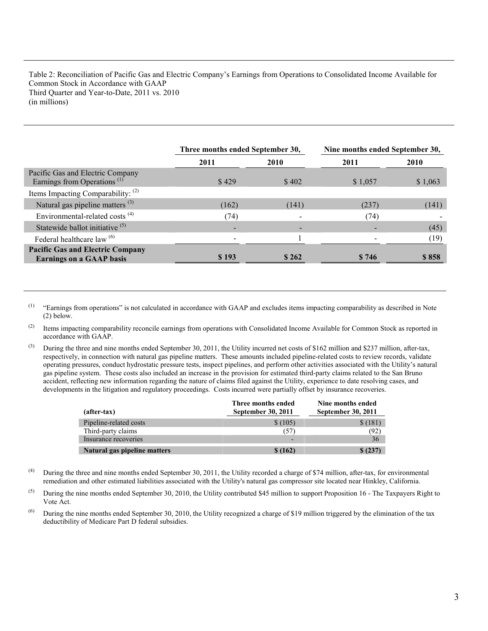Table 2: Reconciliation of Pacific Gas and Electric Company's Earnings from Operations to Consolidated Income Available for Common Stock in Accordance with GAAP Third Quarter and Year-to-Date, 2011 vs. 2010 (in millions)

|                                                                             | Three months ended September 30, |       | Nine months ended September 30, |             |  |
|-----------------------------------------------------------------------------|----------------------------------|-------|---------------------------------|-------------|--|
|                                                                             | 2011                             | 2010  | 2011                            | <b>2010</b> |  |
| Pacific Gas and Electric Company<br>Earnings from Operations <sup>(1)</sup> | \$429                            | \$402 | \$1,057                         | \$1,063     |  |
| Items Impacting Comparability: (2)                                          |                                  |       |                                 |             |  |
| Natural gas pipeline matters $(3)$                                          | (162)                            | (141) | (237)                           | (141)       |  |
| Environmental-related costs <sup>(4)</sup>                                  | (74)                             |       | (74)                            |             |  |
| Statewide ballot initiative <sup>(5)</sup>                                  |                                  |       |                                 | (45)        |  |
| Federal healthcare law <sup>(6)</sup>                                       |                                  |       |                                 | (19)        |  |
| <b>Pacific Gas and Electric Company</b><br><b>Earnings on a GAAP basis</b>  | \$193                            | \$262 | \$746                           | \$858       |  |

(1) "Earnings from operations" is not calculated in accordance with GAAP and excludes items impacting comparability as described in Note (2) below.

(2) Items impacting comparability reconcile earnings from operations with Consolidated Income Available for Common Stock as reported in accordance with GAAP.

(3) During the three and nine months ended September 30, 2011, the Utility incurred net costs of \$162 million and \$237 million, after-tax, respectively, in connection with natural gas pipeline matters. These amounts included pipeline-related costs to review records, validate operating pressures, conduct hydrostatic pressure tests, inspect pipelines, and perform other activities associated with the Utility's natural gas pipeline system. These costs also included an increase in the provision for estimated third-party claims related to the San Bruno accident, reflecting new information regarding the nature of claims filed against the Utility, experience to date resolving cases, and developments in the litigation and regulatory proceedings. Costs incurred were partially offset by insurance recoveries.

| $(after-tax)$                | Three months ended<br>September 30, 2011 | Nine months ended<br>September 30, 2011 |
|------------------------------|------------------------------------------|-----------------------------------------|
| Pipeline-related costs       | \$(105)                                  | \$(181)                                 |
| Third-party claims           | (57)                                     | (92)                                    |
| Insurance recoveries         | $\overline{\phantom{0}}$                 | 36                                      |
| Natural gas pipeline matters | \$(162)                                  | \$(237)                                 |

- (4) During the three and nine months ended September 30, 2011, the Utility recorded a charge of \$74 million, after-tax, for environmental remediation and other estimated liabilities associated with the Utility's natural gas compressor site located near Hinkley, California.
- $^{(5)}$  During the nine months ended September 30, 2010, the Utility contributed \$45 million to support Proposition 16 The Taxpayers Right to Vote Act.
- (6) During the nine months ended September 30, 2010, the Utility recognized a charge of \$19 million triggered by the elimination of the tax deductibility of Medicare Part D federal subsidies.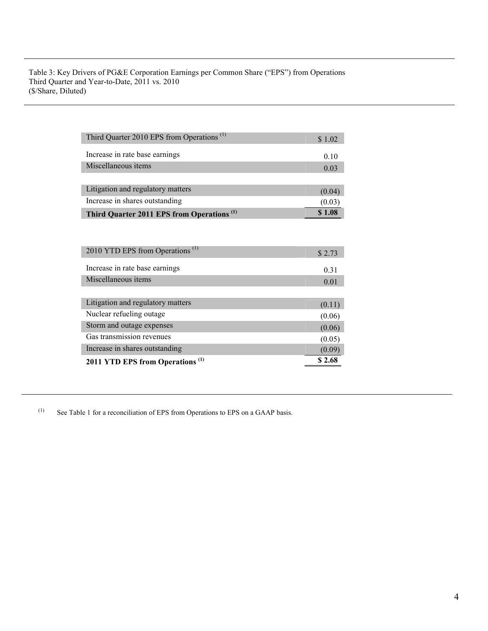Table 3: Key Drivers of PG&E Corporation Earnings per Common Share ("EPS") from Operations Third Quarter and Year-to-Date, 2011 vs. 2010 (\$/Share, Diluted)

| Third Quarter 2010 EPS from Operations <sup>(1)</sup> | \$1.02 |
|-------------------------------------------------------|--------|
| Increase in rate base earnings                        | 0.10   |
| Miscellaneous items                                   | 0.03   |
|                                                       |        |
| Litigation and regulatory matters                     | (0.04) |
| Increase in shares outstanding                        | (0.03) |
| Third Quarter 2011 EPS from Operations <sup>(1)</sup> | \$1.08 |

| 2010 YTD EPS from Operations <sup>(1)</sup> | \$2.73 |
|---------------------------------------------|--------|
| Increase in rate base earnings              | 0.31   |
| Miscellaneous items                         | 0.01   |
|                                             |        |
| Litigation and regulatory matters           | (0.11) |
| Nuclear refueling outage                    | (0.06) |
| Storm and outage expenses                   | (0.06) |
| Gas transmission revenues                   | (0.05) |
| Increase in shares outstanding              | (0.09) |
| 2011 YTD EPS from Operations <sup>(1)</sup> | \$2.68 |

(1) See Table 1 for a reconciliation of EPS from Operations to EPS on a GAAP basis.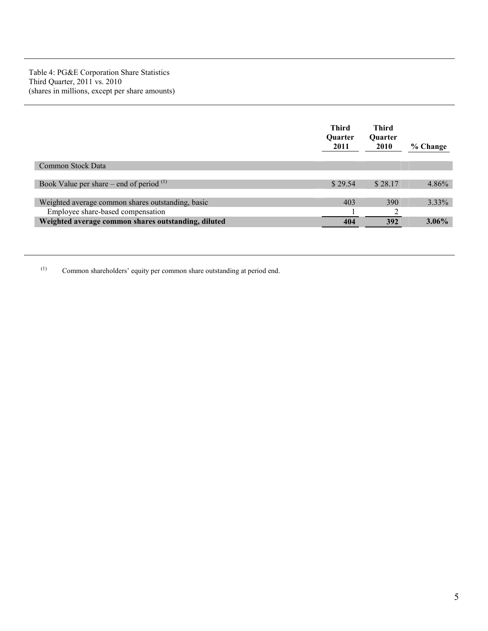|                                                     | <b>Third</b><br><b>Ouarter</b><br>2011 | Third<br><b>Ouarter</b><br><b>2010</b> | % Change |
|-----------------------------------------------------|----------------------------------------|----------------------------------------|----------|
| Common Stock Data                                   |                                        |                                        |          |
|                                                     |                                        |                                        |          |
| Book Value per share – end of period $(1)$          | \$29.54                                | \$28.17                                | $4.86\%$ |
|                                                     |                                        |                                        |          |
| Weighted average common shares outstanding, basic   | 403                                    | 390                                    | $3.33\%$ |
| Employee share-based compensation                   |                                        | ◠                                      |          |
| Weighted average common shares outstanding, diluted | 404                                    | 392                                    | $3.06\%$ |

(1) Common shareholders' equity per common share outstanding at period end.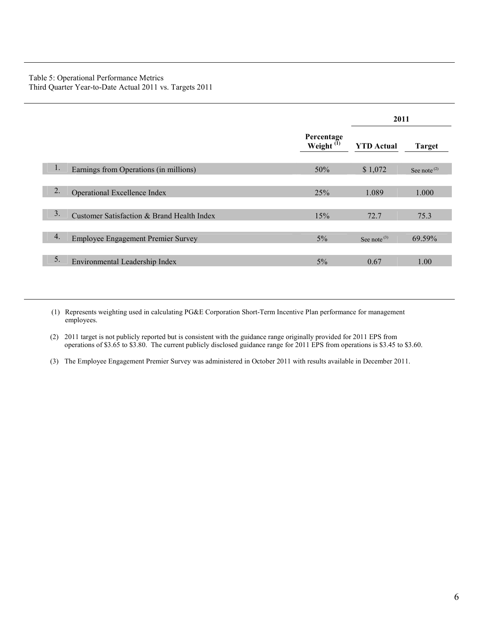## Table 5: Operational Performance Metrics Third Quarter Year-to-Date Actual 2011 vs. Targets 2011

|    |                                            |                               | 2011                    |                                      |  |
|----|--------------------------------------------|-------------------------------|-------------------------|--------------------------------------|--|
|    |                                            | Percentage<br>Weight $^{(1)}$ | <b>YTD</b> Actual       | <b>Target</b>                        |  |
| 1. | Earnings from Operations (in millions)     | 50%                           | \$1,072                 | See note <sup><math>(2)</math></sup> |  |
| 2. | Operational Excellence Index               | 25%                           | 1.089                   | 1.000                                |  |
| 3. | Customer Satisfaction & Brand Health Index | 15%                           | 72.7                    | 75.3                                 |  |
| 4. | <b>Employee Engagement Premier Survey</b>  | $5\%$                         | See note <sup>(3)</sup> | 69.59%                               |  |
| 5. | Environmental Leadership Index             | $5\%$                         | 0.67                    | 1.00                                 |  |

(1) Represents weighting used in calculating PG&E Corporation Short-Term Incentive Plan performance for management employees.

(2) 2011 target is not publicly reported but is consistent with the guidance range originally provided for 2011 EPS from operations of \$3.65 to \$3.80. The current publicly disclosed guidance range for 2011 EPS from operations is \$3.45 to \$3.60.

(3) The Employee Engagement Premier Survey was administered in October 2011 with results available in December 2011.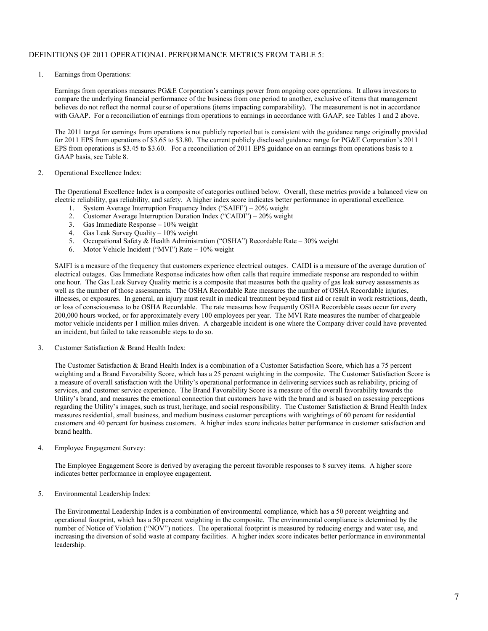## DEFINITIONS OF 2011 OPERATIONAL PERFORMANCE METRICS FROM TABLE 5:

1. Earnings from Operations:

 Earnings from operations measures PG&E Corporation's earnings power from ongoing core operations. It allows investors to compare the underlying financial performance of the business from one period to another, exclusive of items that management believes do not reflect the normal course of operations (items impacting comparability). The measurement is not in accordance with GAAP. For a reconciliation of earnings from operations to earnings in accordance with GAAP, see Tables 1 and 2 above.

The 2011 target for earnings from operations is not publicly reported but is consistent with the guidance range originally provided for 2011 EPS from operations of \$3.65 to \$3.80. The current publicly disclosed guidance range for PG&E Corporation's 2011 EPS from operations is \$3.45 to \$3.60. For a reconciliation of 2011 EPS guidance on an earnings from operations basis to a GAAP basis, see Table 8.

#### 2. Operational Excellence Index:

 The Operational Excellence Index is a composite of categories outlined below. Overall, these metrics provide a balanced view on electric reliability, gas reliability, and safety. A higher index score indicates better performance in operational excellence.

- 1. System Average Interruption Frequency Index ("SAIFI") 20% weight
- 2. Customer Average Interruption Duration Index ("CAIDI") 20% weight
- 3. Gas Immediate Response 10% weight
- 4. Gas Leak Survey Quality 10% weight
- 5. Occupational Safety & Health Administration ("OSHA") Recordable Rate 30% weight 6. Motor Vehicle Incident ("MVI") Rate 10% weight
- Motor Vehicle Incident ("MVI") Rate 10% weight

SAIFI is a measure of the frequency that customers experience electrical outages. CAIDI is a measure of the average duration of electrical outages. Gas Immediate Response indicates how often calls that require immediate response are responded to within one hour. The Gas Leak Survey Quality metric is a composite that measures both the quality of gas leak survey assessments as well as the number of those assessments. The OSHA Recordable Rate measures the number of OSHA Recordable injuries, illnesses, or exposures. In general, an injury must result in medical treatment beyond first aid or result in work restrictions, death, or loss of consciousness to be OSHA Recordable. The rate measures how frequently OSHA Recordable cases occur for every 200,000 hours worked, or for approximately every 100 employees per year. The MVI Rate measures the number of chargeable motor vehicle incidents per 1 million miles driven. A chargeable incident is one where the Company driver could have prevented an incident, but failed to take reasonable steps to do so.

3. Customer Satisfaction & Brand Health Index:

 The Customer Satisfaction & Brand Health Index is a combination of a Customer Satisfaction Score, which has a 75 percent weighting and a Brand Favorability Score, which has a 25 percent weighting in the composite. The Customer Satisfaction Score is a measure of overall satisfaction with the Utility's operational performance in delivering services such as reliability, pricing of services, and customer service experience. The Brand Favorability Score is a measure of the overall favorability towards the Utility's brand, and measures the emotional connection that customers have with the brand and is based on assessing perceptions regarding the Utility's images, such as trust, heritage, and social responsibility. The Customer Satisfaction & Brand Health Index measures residential, small business, and medium business customer perceptions with weightings of 60 percent for residential customers and 40 percent for business customers. A higher index score indicates better performance in customer satisfaction and brand health.

4. Employee Engagement Survey:

 The Employee Engagement Score is derived by averaging the percent favorable responses to 8 survey items. A higher score indicates better performance in employee engagement.

5. Environmental Leadership Index:

 The Environmental Leadership Index is a combination of environmental compliance, which has a 50 percent weighting and operational footprint, which has a 50 percent weighting in the composite. The environmental compliance is determined by the number of Notice of Violation ("NOV") notices. The operational footprint is measured by reducing energy and water use, and increasing the diversion of solid waste at company facilities. A higher index score indicates better performance in environmental leadership.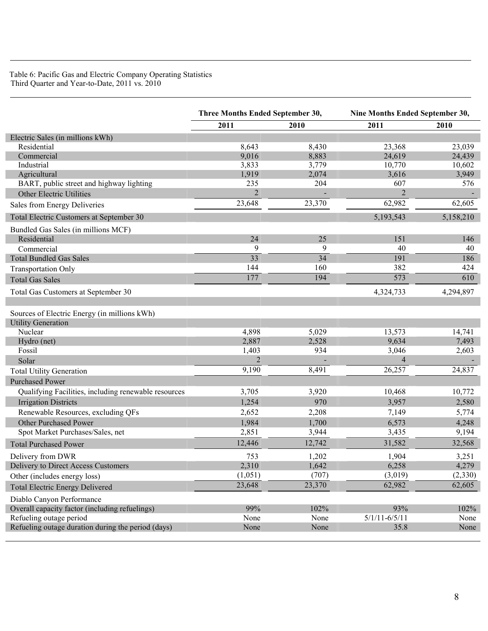Table 6: Pacific Gas and Electric Company Operating Statistics Third Quarter and Year-to-Date, 2011 vs. 2010

| 2011<br>2010<br>2011<br>2010<br>Electric Sales (in millions kWh)<br>Residential<br>8,643<br>8,430<br>23,368<br>9,016<br>8,883<br>Commercial<br>24,619<br>Industrial<br>3,833<br>3,779<br>10,770<br>2,074<br>Agricultural<br>1,919<br>3,616<br>BART, public street and highway lighting<br>235<br>204<br>607<br>$\overline{2}$<br>$\overline{2}$<br>Other Electric Utilities<br>23,648<br>23,370<br>62,982<br>Sales from Energy Deliveries<br>5,193,543<br>Total Electric Customers at September 30 | Three Months Ended September 30, |  | Nine Months Ended September 30, |           |
|----------------------------------------------------------------------------------------------------------------------------------------------------------------------------------------------------------------------------------------------------------------------------------------------------------------------------------------------------------------------------------------------------------------------------------------------------------------------------------------------------|----------------------------------|--|---------------------------------|-----------|
|                                                                                                                                                                                                                                                                                                                                                                                                                                                                                                    |                                  |  |                                 |           |
|                                                                                                                                                                                                                                                                                                                                                                                                                                                                                                    |                                  |  |                                 |           |
|                                                                                                                                                                                                                                                                                                                                                                                                                                                                                                    |                                  |  |                                 | 23,039    |
|                                                                                                                                                                                                                                                                                                                                                                                                                                                                                                    |                                  |  |                                 | 24,439    |
|                                                                                                                                                                                                                                                                                                                                                                                                                                                                                                    |                                  |  |                                 | 10,602    |
|                                                                                                                                                                                                                                                                                                                                                                                                                                                                                                    |                                  |  |                                 | 3,949     |
|                                                                                                                                                                                                                                                                                                                                                                                                                                                                                                    |                                  |  |                                 | 576       |
|                                                                                                                                                                                                                                                                                                                                                                                                                                                                                                    |                                  |  |                                 |           |
|                                                                                                                                                                                                                                                                                                                                                                                                                                                                                                    |                                  |  |                                 | 62,605    |
|                                                                                                                                                                                                                                                                                                                                                                                                                                                                                                    |                                  |  |                                 | 5,158,210 |
| Bundled Gas Sales (in millions MCF)                                                                                                                                                                                                                                                                                                                                                                                                                                                                |                                  |  |                                 |           |
| 24<br>25<br>Residential<br>151                                                                                                                                                                                                                                                                                                                                                                                                                                                                     |                                  |  |                                 | 146       |
| 9<br>9<br>40<br>Commercial                                                                                                                                                                                                                                                                                                                                                                                                                                                                         |                                  |  |                                 | 40        |
| 33<br>34<br><b>Total Bundled Gas Sales</b><br>191                                                                                                                                                                                                                                                                                                                                                                                                                                                  |                                  |  |                                 | 186       |
| 382<br>144<br>160<br><b>Transportation Only</b>                                                                                                                                                                                                                                                                                                                                                                                                                                                    |                                  |  |                                 | 424       |
| 177<br>194<br>573<br><b>Total Gas Sales</b>                                                                                                                                                                                                                                                                                                                                                                                                                                                        |                                  |  |                                 | 610       |
| Total Gas Customers at September 30<br>4,324,733                                                                                                                                                                                                                                                                                                                                                                                                                                                   |                                  |  |                                 | 4,294,897 |
| Sources of Electric Energy (in millions kWh)                                                                                                                                                                                                                                                                                                                                                                                                                                                       |                                  |  |                                 |           |
| <b>Utility Generation</b>                                                                                                                                                                                                                                                                                                                                                                                                                                                                          |                                  |  |                                 |           |
| Nuclear<br>4,898<br>5,029<br>13,573                                                                                                                                                                                                                                                                                                                                                                                                                                                                |                                  |  |                                 | 14,741    |
| 2,887<br>9,634<br>Hydro (net)<br>2,528                                                                                                                                                                                                                                                                                                                                                                                                                                                             |                                  |  |                                 | 7,493     |
| 3,046<br>Fossil<br>1,403<br>934                                                                                                                                                                                                                                                                                                                                                                                                                                                                    |                                  |  |                                 | 2,603     |
| $\overline{2}$<br>$\overline{4}$<br>Solar                                                                                                                                                                                                                                                                                                                                                                                                                                                          |                                  |  |                                 |           |
| 9,190<br>8,491<br>26,257<br><b>Total Utility Generation</b>                                                                                                                                                                                                                                                                                                                                                                                                                                        |                                  |  |                                 | 24,837    |
| <b>Purchased Power</b>                                                                                                                                                                                                                                                                                                                                                                                                                                                                             |                                  |  |                                 |           |
| Qualifying Facilities, including renewable resources<br>3,705<br>3,920<br>10,468                                                                                                                                                                                                                                                                                                                                                                                                                   |                                  |  |                                 | 10,772    |
| 1,254<br>970<br>3,957<br><b>Irrigation Districts</b>                                                                                                                                                                                                                                                                                                                                                                                                                                               |                                  |  |                                 | 2,580     |
| Renewable Resources, excluding QFs<br>2,652<br>2,208<br>7,149                                                                                                                                                                                                                                                                                                                                                                                                                                      |                                  |  |                                 | 5,774     |
| Other Purchased Power<br>1,984<br>1,700<br>6,573                                                                                                                                                                                                                                                                                                                                                                                                                                                   |                                  |  |                                 | 4,248     |
| Spot Market Purchases/Sales, net<br>2,851<br>3,435<br>3,944                                                                                                                                                                                                                                                                                                                                                                                                                                        |                                  |  |                                 | 9,194     |
| 12,446<br>12,742<br>31,582<br><b>Total Purchased Power</b>                                                                                                                                                                                                                                                                                                                                                                                                                                         |                                  |  |                                 | 32,568    |
| Delivery from DWR<br>753<br>1,202<br>1,904                                                                                                                                                                                                                                                                                                                                                                                                                                                         |                                  |  |                                 | 3,251     |
| Delivery to Direct Access Customers<br>2,310<br>1,642<br>6,258                                                                                                                                                                                                                                                                                                                                                                                                                                     |                                  |  |                                 | 4,279     |
| (1,051)<br>(707)<br>(3,019)<br>Other (includes energy loss)                                                                                                                                                                                                                                                                                                                                                                                                                                        |                                  |  |                                 | (2,330)   |
| 23,370<br>23,648<br>62,982<br><b>Total Electric Energy Delivered</b>                                                                                                                                                                                                                                                                                                                                                                                                                               |                                  |  |                                 | 62,605    |
| Diablo Canyon Performance                                                                                                                                                                                                                                                                                                                                                                                                                                                                          |                                  |  |                                 |           |
| Overall capacity factor (including refuelings)<br>99%<br>102%<br>93%                                                                                                                                                                                                                                                                                                                                                                                                                               |                                  |  |                                 | 102%      |
| Refueling outage period<br>$5/1/11 - 6/5/11$<br>None<br>None                                                                                                                                                                                                                                                                                                                                                                                                                                       |                                  |  |                                 | None      |
| Refueling outage duration during the period (days)<br>35.8<br>None<br>None                                                                                                                                                                                                                                                                                                                                                                                                                         |                                  |  |                                 | None      |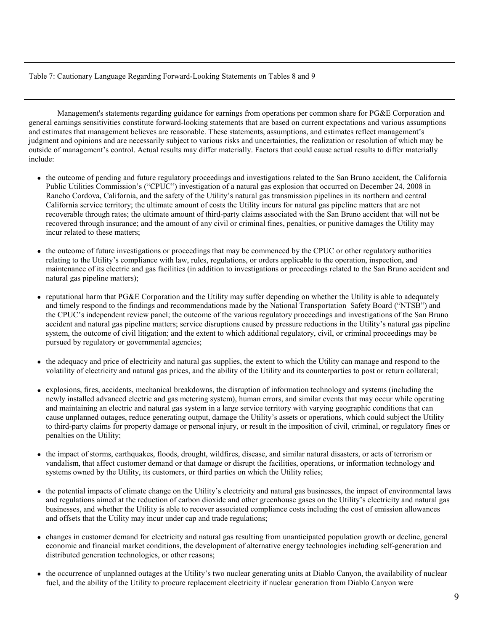## Table 7: Cautionary Language Regarding Forward-Looking Statements on Tables 8 and 9

Management's statements regarding guidance for earnings from operations per common share for PG&E Corporation and general earnings sensitivities constitute forward-looking statements that are based on current expectations and various assumptions and estimates that management believes are reasonable. These statements, assumptions, and estimates reflect management's judgment and opinions and are necessarily subject to various risks and uncertainties, the realization or resolution of which may be outside of management's control. Actual results may differ materially. Factors that could cause actual results to differ materially include:

- the outcome of pending and future regulatory proceedings and investigations related to the San Bruno accident, the California Public Utilities Commission's ("CPUC") investigation of a natural gas explosion that occurred on December 24, 2008 in Rancho Cordova, California, and the safety of the Utility's natural gas transmission pipelines in its northern and central California service territory; the ultimate amount of costs the Utility incurs for natural gas pipeline matters that are not recoverable through rates; the ultimate amount of third-party claims associated with the San Bruno accident that will not be recovered through insurance; and the amount of any civil or criminal fines, penalties, or punitive damages the Utility may incur related to these matters;
- the outcome of future investigations or proceedings that may be commenced by the CPUC or other regulatory authorities relating to the Utility's compliance with law, rules, regulations, or orders applicable to the operation, inspection, and maintenance of its electric and gas facilities (in addition to investigations or proceedings related to the San Bruno accident and natural gas pipeline matters);
- reputational harm that PG&E Corporation and the Utility may suffer depending on whether the Utility is able to adequately and timely respond to the findings and recommendations made by the National Transportation Safety Board ("NTSB") and the CPUC's independent review panel; the outcome of the various regulatory proceedings and investigations of the San Bruno accident and natural gas pipeline matters; service disruptions caused by pressure reductions in the Utility's natural gas pipeline system, the outcome of civil litigation; and the extent to which additional regulatory, civil, or criminal proceedings may be pursued by regulatory or governmental agencies;
- the adequacy and price of electricity and natural gas supplies, the extent to which the Utility can manage and respond to the volatility of electricity and natural gas prices, and the ability of the Utility and its counterparties to post or return collateral;
- explosions, fires, accidents, mechanical breakdowns, the disruption of information technology and systems (including the newly installed advanced electric and gas metering system), human errors, and similar events that may occur while operating and maintaining an electric and natural gas system in a large service territory with varying geographic conditions that can cause unplanned outages, reduce generating output, damage the Utility's assets or operations, which could subject the Utility to third-party claims for property damage or personal injury, or result in the imposition of civil, criminal, or regulatory fines or penalties on the Utility;
- the impact of storms, earthquakes, floods, drought, wildfires, disease, and similar natural disasters, or acts of terrorism or vandalism, that affect customer demand or that damage or disrupt the facilities, operations, or information technology and systems owned by the Utility, its customers, or third parties on which the Utility relies;
- the potential impacts of climate change on the Utility's electricity and natural gas businesses, the impact of environmental laws and regulations aimed at the reduction of carbon dioxide and other greenhouse gases on the Utility's electricity and natural gas businesses, and whether the Utility is able to recover associated compliance costs including the cost of emission allowances and offsets that the Utility may incur under cap and trade regulations;
- changes in customer demand for electricity and natural gas resulting from unanticipated population growth or decline, general economic and financial market conditions, the development of alternative energy technologies including self-generation and distributed generation technologies, or other reasons;
- the occurrence of unplanned outages at the Utility's two nuclear generating units at Diablo Canyon, the availability of nuclear fuel, and the ability of the Utility to procure replacement electricity if nuclear generation from Diablo Canyon were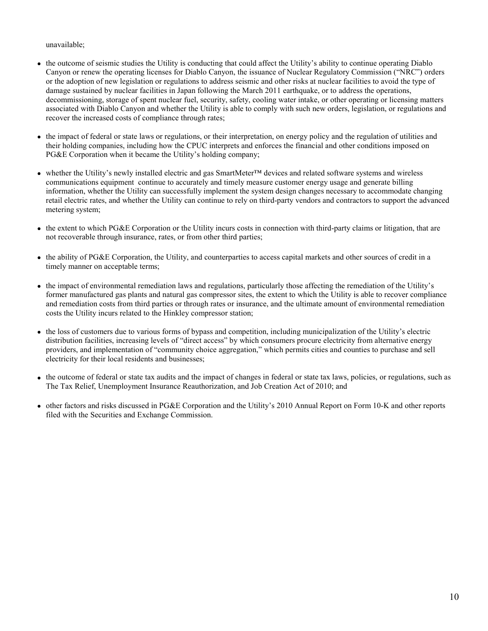unavailable;

- the outcome of seismic studies the Utility is conducting that could affect the Utility's ability to continue operating Diablo Canyon or renew the operating licenses for Diablo Canyon, the issuance of Nuclear Regulatory Commission ("NRC") orders or the adoption of new legislation or regulations to address seismic and other risks at nuclear facilities to avoid the type of damage sustained by nuclear facilities in Japan following the March 2011 earthquake, or to address the operations, decommissioning, storage of spent nuclear fuel, security, safety, cooling water intake, or other operating or licensing matters associated with Diablo Canyon and whether the Utility is able to comply with such new orders, legislation, or regulations and recover the increased costs of compliance through rates;
- the impact of federal or state laws or regulations, or their interpretation, on energy policy and the regulation of utilities and their holding companies, including how the CPUC interprets and enforces the financial and other conditions imposed on PG&E Corporation when it became the Utility's holding company;
- whether the Utility's newly installed electric and gas SmartMeter™ devices and related software systems and wireless communications equipment continue to accurately and timely measure customer energy usage and generate billing information, whether the Utility can successfully implement the system design changes necessary to accommodate changing retail electric rates, and whether the Utility can continue to rely on third-party vendors and contractors to support the advanced metering system;
- the extent to which PG&E Corporation or the Utility incurs costs in connection with third-party claims or litigation, that are not recoverable through insurance, rates, or from other third parties;
- the ability of PG&E Corporation, the Utility, and counterparties to access capital markets and other sources of credit in a timely manner on acceptable terms;
- the impact of environmental remediation laws and regulations, particularly those affecting the remediation of the Utility's former manufactured gas plants and natural gas compressor sites, the extent to which the Utility is able to recover compliance and remediation costs from third parties or through rates or insurance, and the ultimate amount of environmental remediation costs the Utility incurs related to the Hinkley compressor station;
- the loss of customers due to various forms of bypass and competition, including municipalization of the Utility's electric distribution facilities, increasing levels of "direct access" by which consumers procure electricity from alternative energy providers, and implementation of "community choice aggregation," which permits cities and counties to purchase and sell electricity for their local residents and businesses;
- the outcome of federal or state tax audits and the impact of changes in federal or state tax laws, policies, or regulations, such as The Tax Relief, Unemployment Insurance Reauthorization, and Job Creation Act of 2010; and
- other factors and risks discussed in PG&E Corporation and the Utility's 2010 Annual Report on Form 10-K and other reports filed with the Securities and Exchange Commission.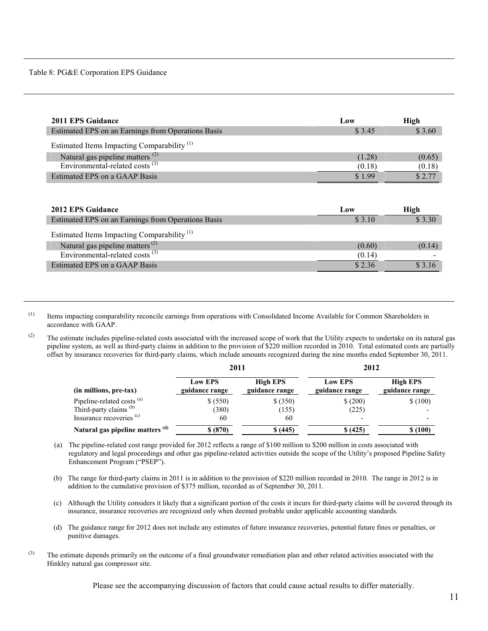Table 8: PG&E Corporation EPS Guidance

| 2011 EPS Guidance                                      | Low    | <b>High</b> |
|--------------------------------------------------------|--------|-------------|
| Estimated EPS on an Earnings from Operations Basis     | \$3.45 | \$3.60      |
| Estimated Items Impacting Comparability <sup>(1)</sup> |        |             |
| Natural gas pipeline matters <sup>(2)</sup>            | (1.28) | (0.65)      |
| Environmental-related costs <sup>(3)</sup>             | (0.18) | (0.18)      |
| Estimated EPS on a GAAP Basis                          | \$1.99 | \$2.77      |
| 2012 EPS Guidance                                      | Low    | <b>High</b> |
| Estimated EPS on an Earnings from Operations Basis     | \$3.10 | \$3.30      |
| Estimated Items Impacting Comparability <sup>(1)</sup> |        |             |
| Natural gas pipeline matters <sup>(2)</sup>            | (0.60) | (0.14)      |
| Environmental-related costs <sup>(3)</sup>             | (0.14) |             |

Estimated EPS on a GAAP Basis  $$ 3.16$ 

(1) Items impacting comparability reconcile earnings from operations with Consolidated Income Available for Common Shareholders in accordance with GAAP.

<sup>(2)</sup> The estimate includes pipeline-related costs associated with the increased scope of work that the Utility expects to undertake on its natural gas pipeline system, as well as third-party claims in addition to the provision of \$220 million recorded in 2010. Total estimated costs are partially offset by insurance recoveries for third-party claims, which include amounts recognized during the nine months ended September 30, 2011.

|                                       | 2011                             |                                   | 2012                             |                                   |  |
|---------------------------------------|----------------------------------|-----------------------------------|----------------------------------|-----------------------------------|--|
| (in millions, pre-tax)                | <b>Low EPS</b><br>guidance range | <b>High EPS</b><br>guidance range | <b>Low EPS</b><br>guidance range | <b>High EPS</b><br>guidance range |  |
| Pipeline-related costs <sup>(a)</sup> | \$ (550)                         | \$ (350)                          | \$(200)                          | \$(100)                           |  |
| Third-party claims <sup>(b)</sup>     | (380)                            | (155)                             | (225)                            |                                   |  |
| Insurance recoveries <sup>(c)</sup>   | 60                               | 60                                | -                                |                                   |  |
| Natural gas pipeline matters (d)      | \$ (870)                         | \$(445)                           | \$(425)                          | \$(100)                           |  |

- (a) The pipeline-related cost range provided for 2012 reflects a range of \$100 million to \$200 million in costs associated with regulatory and legal proceedings and other gas pipeline-related activities outside the scope of the Utility's proposed Pipeline Safety Enhancement Program ("PSEP").
- (b) The range for third-party claims in 2011 is in addition to the provision of \$220 million recorded in 2010. The range in 2012 is in addition to the cumulative provision of \$375 million, recorded as of September 30, 2011.
- (c) Although the Utility considers it likely that a significant portion of the costs it incurs for third-party claims will be covered through its insurance, insurance recoveries are recognized only when deemed probable under applicable accounting standards.
- (d) The guidance range for 2012 does not include any estimates of future insurance recoveries, potential future fines or penalties, or punitive damages.
- $<sup>(3)</sup>$  The estimate depends primarily on the outcome of a final groundwater remediation plan and other related activities associated with the</sup> Hinkley natural gas compressor site.

Please see the accompanying discussion of factors that could cause actual results to differ materially.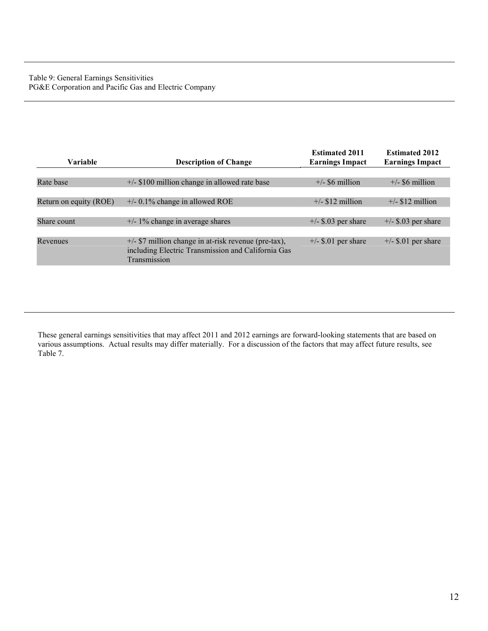| Variable               | <b>Description of Change</b>                                                                                                 | <b>Estimated 2011</b><br><b>Earnings Impact</b> | <b>Estimated 2012</b><br><b>Earnings Impact</b> |
|------------------------|------------------------------------------------------------------------------------------------------------------------------|-------------------------------------------------|-------------------------------------------------|
|                        |                                                                                                                              |                                                 |                                                 |
| Rate base              | $+/-$ \$100 million change in allowed rate base                                                                              | $+/-$ \$6 million                               | $+/-$ \$6 million                               |
|                        |                                                                                                                              |                                                 |                                                 |
| Return on equity (ROE) | $+/- 0.1\%$ change in allowed ROE                                                                                            | $+/-$ \$12 million                              | $+/-$ \$12 million                              |
|                        |                                                                                                                              |                                                 |                                                 |
| Share count            | $+/- 1\%$ change in average shares                                                                                           | $+/-$ \$.03 per share                           | $+/-$ \$.03 per share                           |
|                        |                                                                                                                              |                                                 |                                                 |
| Revenues               | $+/-$ \$7 million change in at-risk revenue (pre-tax),<br>including Electric Transmission and California Gas<br>Transmission | $+/-$ \$.01 per share                           | $+/-$ \$.01 per share                           |

These general earnings sensitivities that may affect 2011 and 2012 earnings are forward-looking statements that are based on various assumptions. Actual results may differ materially. For a discussion of the factors that may affect future results, see Table 7.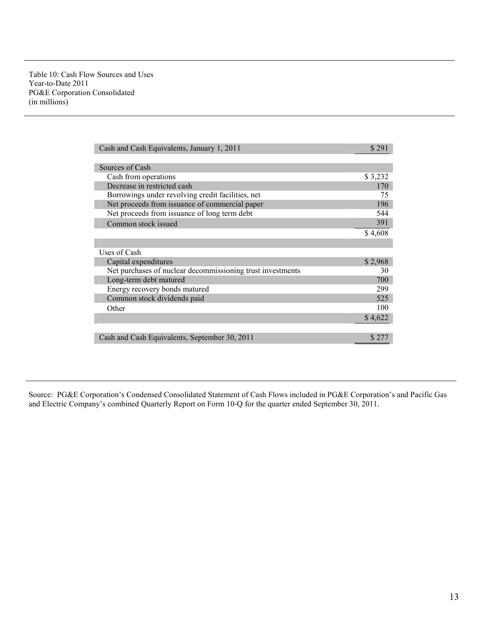| Cash and Cash Equivalents, January 1, 2011                 | \$291   |
|------------------------------------------------------------|---------|
| Sources of Cash                                            |         |
| Cash from operations                                       | \$3,232 |
| Decrease in restricted cash                                | 170     |
| Borrowings under revolving credit facilities, net          | 75      |
| Net proceeds from issuance of commercial paper             | 196     |
| Net proceeds from issuance of long term debt               | 544     |
| Common stock issued                                        | 391     |
|                                                            | \$4,608 |
|                                                            |         |
| Uses of Cash                                               |         |
| Capital expenditures                                       | \$2,968 |
| Net purchases of nuclear decommissioning trust investments | 30      |
| Long-term debt matured                                     | 700     |
| Energy recovery bonds matured                              | 299     |
| Common stock dividends paid                                | 525     |
| Other                                                      | 100     |
|                                                            | \$4,622 |
|                                                            |         |
| Cash and Cash Equivalents, September 30, 2011              | \$271   |

Source: PG&E Corporation's Condensed Consolidated Statement of Cash Flows included in PG&E Corporation's and Pacific Gas and Electric Company's combined Quarterly Report on Form 10-Q for the quarter ended September 30, 2011.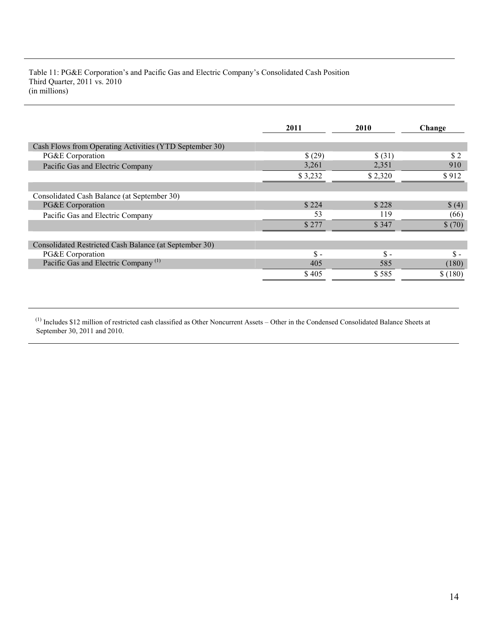Table 11: PG&E Corporation's and Pacific Gas and Electric Company's Consolidated Cash Position Third Quarter, 2011 vs. 2010 (in millions)

|                                                         | 2011           | <b>2010</b>    | Change  |
|---------------------------------------------------------|----------------|----------------|---------|
| Cash Flows from Operating Activities (YTD September 30) |                |                |         |
| PG&E Corporation                                        | \$(29)         | \$ (31)        | \$2     |
| Pacific Gas and Electric Company                        | 3,261          | 2,351          | 910     |
|                                                         | \$3,232        | \$2,320        | \$912   |
|                                                         |                |                |         |
| Consolidated Cash Balance (at September 30)             |                |                |         |
| PG&E Corporation                                        | \$224          | \$228          | \$ (4)  |
| Pacific Gas and Electric Company                        | 53             | 119            | (66)    |
|                                                         | \$277          | \$347          | \$(70)  |
| Consolidated Restricted Cash Balance (at September 30)  |                |                |         |
| PG&E Corporation                                        | $\mathbf{s}$ . | $\mathbf{s}$ - | $S -$   |
| Pacific Gas and Electric Company <sup>(1)</sup>         | 405            | 585            | (180)   |
|                                                         | \$405          | \$585          | \$(180) |

 $<sup>(1)</sup>$  Includes \$12 million of restricted cash classified as Other Noncurrent Assets – Other in the Condensed Consolidated Balance Sheets at</sup> September 30, 2011 and 2010.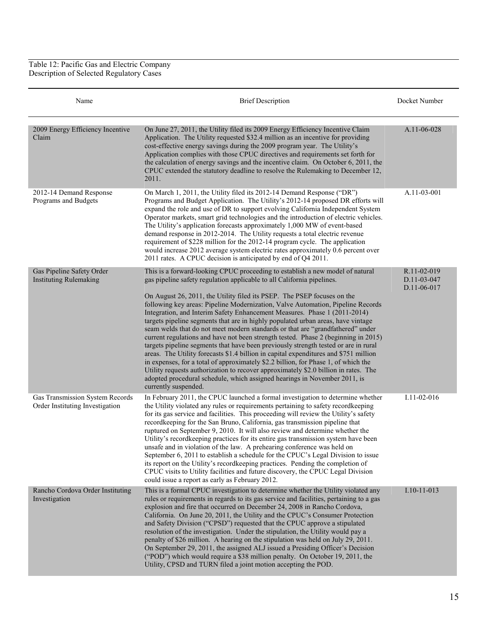Table 12: Pacific Gas and Electric Company Description of Selected Regulatory Cases

| Name                                                               | <b>Brief Description</b>                                                                                                                                                                                                                                                                                                                                                                                                                                                                                                                                                                                                                                                                                                                                                                                                                                                                                                                                             | Docket Number                             |
|--------------------------------------------------------------------|----------------------------------------------------------------------------------------------------------------------------------------------------------------------------------------------------------------------------------------------------------------------------------------------------------------------------------------------------------------------------------------------------------------------------------------------------------------------------------------------------------------------------------------------------------------------------------------------------------------------------------------------------------------------------------------------------------------------------------------------------------------------------------------------------------------------------------------------------------------------------------------------------------------------------------------------------------------------|-------------------------------------------|
| 2009 Energy Efficiency Incentive<br>Claim                          | On June 27, 2011, the Utility filed its 2009 Energy Efficiency Incentive Claim<br>Application. The Utility requested \$32.4 million as an incentive for providing<br>cost-effective energy savings during the 2009 program year. The Utility's<br>Application complies with those CPUC directives and requirements set forth for<br>the calculation of energy savings and the incentive claim. On October 6, 2011, the<br>CPUC extended the statutory deadline to resolve the Rulemaking to December 12,<br>2011.                                                                                                                                                                                                                                                                                                                                                                                                                                                    | A.11-06-028                               |
| 2012-14 Demand Response<br>Programs and Budgets                    | On March 1, 2011, the Utility filed its 2012-14 Demand Response ("DR")<br>Programs and Budget Application. The Utility's 2012-14 proposed DR efforts will<br>expand the role and use of DR to support evolving California Independent System<br>Operator markets, smart grid technologies and the introduction of electric vehicles.<br>The Utility's application forecasts approximately 1,000 MW of event-based<br>demand response in 2012-2014. The Utility requests a total electric revenue<br>requirement of \$228 million for the 2012-14 program cycle. The application<br>would increase 2012 average system electric rates approximately 0.6 percent over<br>2011 rates. A CPUC decision is anticipated by end of Q4 2011.                                                                                                                                                                                                                                 | A.11-03-001                               |
| Gas Pipeline Safety Order<br><b>Instituting Rulemaking</b>         | This is a forward-looking CPUC proceeding to establish a new model of natural<br>gas pipeline safety regulation applicable to all California pipelines.                                                                                                                                                                                                                                                                                                                                                                                                                                                                                                                                                                                                                                                                                                                                                                                                              | R.11-02-019<br>D.11-03-047<br>D.11-06-017 |
|                                                                    | On August 26, 2011, the Utility filed its PSEP. The PSEP focuses on the<br>following key areas: Pipeline Modernization, Valve Automation, Pipeline Records<br>Integration, and Interim Safety Enhancement Measures. Phase 1 (2011-2014)<br>targets pipeline segments that are in highly populated urban areas, have vintage<br>seam welds that do not meet modern standards or that are "grandfathered" under<br>current regulations and have not been strength tested. Phase 2 (beginning in 2015)<br>targets pipeline segments that have been previously strength tested or are in rural<br>areas. The Utility forecasts \$1.4 billion in capital expenditures and \$751 million<br>in expenses, for a total of approximately \$2.2 billion, for Phase 1, of which the<br>Utility requests authorization to recover approximately \$2.0 billion in rates. The<br>adopted procedural schedule, which assigned hearings in November 2011, is<br>currently suspended. |                                           |
| Gas Transmission System Records<br>Order Instituting Investigation | In February 2011, the CPUC launched a formal investigation to determine whether<br>the Utility violated any rules or requirements pertaining to safety recordkeeping<br>for its gas service and facilities. This proceeding will review the Utility's safety<br>recordkeeping for the San Bruno, California, gas transmission pipeline that<br>ruptured on September 9, 2010. It will also review and determine whether the<br>Utility's recordkeeping practices for its entire gas transmission system have been<br>unsafe and in violation of the law. A prehearing conference was held on<br>September 6, 2011 to establish a schedule for the CPUC's Legal Division to issue<br>its report on the Utility's recordkeeping practices. Pending the completion of<br>CPUC visits to Utility facilities and future discovery, the CPUC Legal Division<br>could issue a report as early as February 2012.                                                             | $I.11 - 02 - 016$                         |
| Rancho Cordova Order Instituting<br>Investigation                  | This is a formal CPUC investigation to determine whether the Utility violated any<br>rules or requirements in regards to its gas service and facilities, pertaining to a gas<br>explosion and fire that occurred on December 24, 2008 in Rancho Cordova,<br>California. On June 20, 2011, the Utility and the CPUC's Consumer Protection<br>and Safety Division ("CPSD") requested that the CPUC approve a stipulated<br>resolution of the investigation. Under the stipulation, the Utility would pay a<br>penalty of \$26 million. A hearing on the stipulation was held on July 29, 2011.<br>On September 29, 2011, the assigned ALJ issued a Presiding Officer's Decision<br>("POD") which would require a \$38 million penalty. On October 19, 2011, the<br>Utility, CPSD and TURN filed a joint motion accepting the POD.                                                                                                                                      | $I.10-11-013$                             |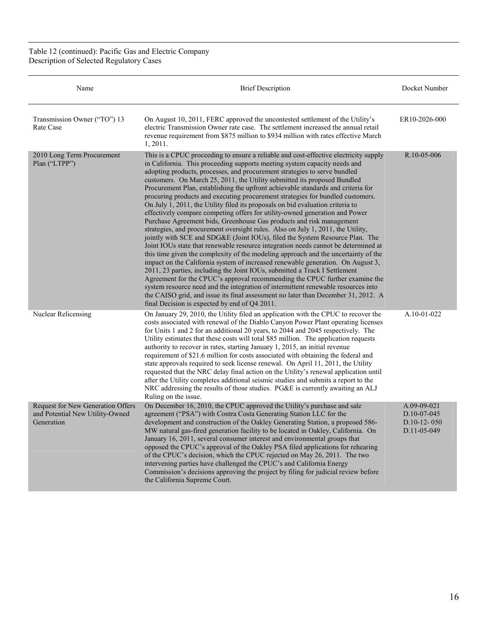Table 12 (continued): Pacific Gas and Electric Company Description of Selected Regulatory Cases

| Name                                                                               | <b>Brief Description</b>                                                                                                                                                                                                                                                                                                                                                                                                                                                                                                                                                                                                                                                                                                                                                                                                                                                                                                                                                                                                                                                                                                                                                                                                                                                                                                                                                                                                                                                                                                                                            | Docket Number                                              |
|------------------------------------------------------------------------------------|---------------------------------------------------------------------------------------------------------------------------------------------------------------------------------------------------------------------------------------------------------------------------------------------------------------------------------------------------------------------------------------------------------------------------------------------------------------------------------------------------------------------------------------------------------------------------------------------------------------------------------------------------------------------------------------------------------------------------------------------------------------------------------------------------------------------------------------------------------------------------------------------------------------------------------------------------------------------------------------------------------------------------------------------------------------------------------------------------------------------------------------------------------------------------------------------------------------------------------------------------------------------------------------------------------------------------------------------------------------------------------------------------------------------------------------------------------------------------------------------------------------------------------------------------------------------|------------------------------------------------------------|
| Transmission Owner ("TO") 13<br>Rate Case                                          | On August 10, 2011, FERC approved the uncontested settlement of the Utility's<br>electric Transmission Owner rate case. The settlement increased the annual retail<br>revenue requirement from \$875 million to \$934 million with rates effective March<br>1, 2011.                                                                                                                                                                                                                                                                                                                                                                                                                                                                                                                                                                                                                                                                                                                                                                                                                                                                                                                                                                                                                                                                                                                                                                                                                                                                                                | ER10-2026-000                                              |
| 2010 Long Term Procurement<br>Plan ("LTPP")                                        | This is a CPUC proceeding to ensure a reliable and cost-effective electricity supply<br>in California. This proceeding supports meeting system capacity needs and<br>adopting products, processes, and procurement strategies to serve bundled<br>customers. On March 25, 2011, the Utility submitted its proposed Bundled<br>Procurement Plan, establishing the upfront achievable standards and criteria for<br>procuring products and executing procurement strategies for bundled customers.<br>On July 1, 2011, the Utility filed its proposals on bid evaluation criteria to<br>effectively compare competing offers for utility-owned generation and Power<br>Purchase Agreement bids, Greenhouse Gas products and risk management<br>strategies, and procurement oversight rules. Also on July 1, 2011, the Utility,<br>jointly with SCE and SDG&E (Joint IOUs), filed the System Resource Plan. The<br>Joint IOUs state that renewable resource integration needs cannot be determined at<br>this time given the complexity of the modeling approach and the uncertainty of the<br>impact on the California system of increased renewable generation. On August 3,<br>2011, 23 parties, including the Joint IOUs, submitted a Track I Settlement<br>Agreement for the CPUC's approval recommending the CPUC further examine the<br>system resource need and the integration of intermittent renewable resources into<br>the CAISO grid, and issue its final assessment no later than December 31, 2012. A<br>final Decision is expected by end of Q4 2011. | R.10-05-006                                                |
| Nuclear Relicensing                                                                | On January 29, 2010, the Utility filed an application with the CPUC to recover the<br>costs associated with renewal of the Diablo Canyon Power Plant operating licenses<br>for Units 1 and 2 for an additional 20 years, to 2044 and 2045 respectively. The<br>Utility estimates that these costs will total \$85 million. The application requests<br>authority to recover in rates, starting January 1, 2015, an initial revenue<br>requirement of \$21.6 million for costs associated with obtaining the federal and<br>state approvals required to seek license renewal. On April 11, 2011, the Utility<br>requested that the NRC delay final action on the Utility's renewal application until<br>after the Utility completes additional seismic studies and submits a report to the<br>NRC addressing the results of those studies. PG&E is currently awaiting an ALJ<br>Ruling on the issue.                                                                                                                                                                                                                                                                                                                                                                                                                                                                                                                                                                                                                                                                 | $A.10-01-022$                                              |
| Request for New Generation Offers<br>and Potential New Utility-Owned<br>Generation | On December 16, 2010, the CPUC approved the Utility's purchase and sale<br>agreement ("PSA") with Contra Costa Generating Station LLC for the<br>development and construction of the Oakley Generating Station, a proposed 586-<br>MW natural gas-fired generation facility to be located in Oakley, California. On<br>January 16, 2011, several consumer interest and environmental groups that<br>opposed the CPUC's approval of the Oakley PSA filed applications for rehearing<br>of the CPUC's decision, which the CPUC rejected on May 26, 2011. The two<br>intervening parties have challenged the CPUC's and California Energy<br>Commission's decisions approving the project by filing for judicial review before<br>the California Supreme Court.                                                                                                                                                                                                                                                                                                                                                                                                                                                                                                                                                                                                                                                                                                                                                                                                        | A.09-09-021<br>D.10-07-045<br>$D.10-12-050$<br>D.11-05-049 |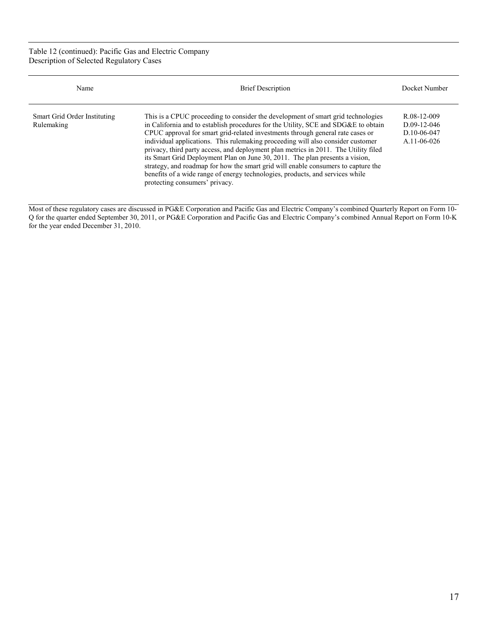Table 12 (continued): Pacific Gas and Electric Company Description of Selected Regulatory Cases

| Name                                       | <b>Brief Description</b>                                                                                                                                                                                                                                                                                                                                                                                                                                                                                                                                                                                                                                                                                                   | Docket Number                                                    |
|--------------------------------------------|----------------------------------------------------------------------------------------------------------------------------------------------------------------------------------------------------------------------------------------------------------------------------------------------------------------------------------------------------------------------------------------------------------------------------------------------------------------------------------------------------------------------------------------------------------------------------------------------------------------------------------------------------------------------------------------------------------------------------|------------------------------------------------------------------|
| Smart Grid Order Instituting<br>Rulemaking | This is a CPUC proceeding to consider the development of smart grid technologies<br>in California and to establish procedures for the Utility, SCE and SDG&E to obtain<br>CPUC approval for smart grid-related investments through general rate cases or<br>individual applications. This rulemaking proceeding will also consider customer<br>privacy, third party access, and deployment plan metrics in 2011. The Utility filed<br>its Smart Grid Deployment Plan on June 30, 2011. The plan presents a vision,<br>strategy, and roadmap for how the smart grid will enable consumers to capture the<br>benefits of a wide range of energy technologies, products, and services while<br>protecting consumers' privacy. | R.08-12-009<br>$D.09-12-046$<br>D.10-06-047<br>$A.11 - 06 - 026$ |

Most of these regulatory cases are discussed in PG&E Corporation and Pacific Gas and Electric Company's combined Quarterly Report on Form 10- Q for the quarter ended September 30, 2011, or PG&E Corporation and Pacific Gas and Electric Company's combined Annual Report on Form 10-K for the year ended December 31, 2010.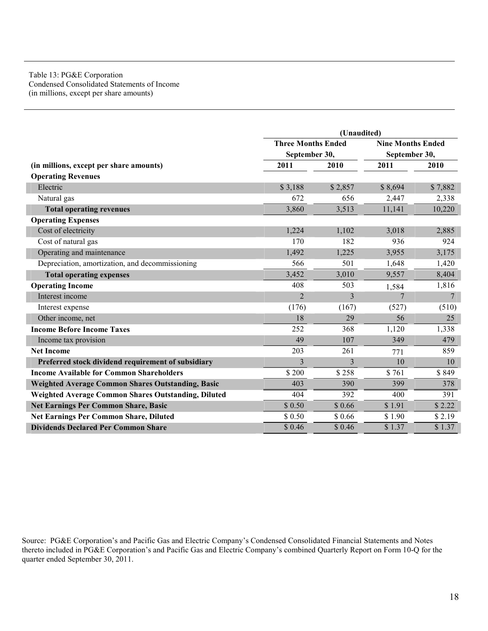#### Table 13: PG&E Corporation Condensed Consolidated Statements of Income (in millions, except per share amounts)

|                                                            | (Unaudited)               |         |                          |                 |
|------------------------------------------------------------|---------------------------|---------|--------------------------|-----------------|
|                                                            | <b>Three Months Ended</b> |         | <b>Nine Months Ended</b> |                 |
|                                                            | September 30,             |         | September 30,            |                 |
| (in millions, except per share amounts)                    | 2011                      | 2010    | 2011                     | 2010            |
| <b>Operating Revenues</b>                                  |                           |         |                          |                 |
| Electric                                                   | \$3,188                   | \$2,857 | \$8,694                  | \$7,882         |
| Natural gas                                                | 672                       | 656     | 2,447                    | 2,338           |
| <b>Total operating revenues</b>                            | 3,860                     | 3,513   | 11,141                   | 10,220          |
| <b>Operating Expenses</b>                                  |                           |         |                          |                 |
| Cost of electricity                                        | 1,224                     | 1,102   | 3,018                    | 2,885           |
| Cost of natural gas                                        | 170                       | 182     | 936                      | 924             |
| Operating and maintenance                                  | 1,492                     | 1,225   | 3,955                    | 3,175           |
| Depreciation, amortization, and decommissioning            | 566                       | 501     | 1,648                    | 1,420           |
| <b>Total operating expenses</b>                            | 3,452                     | 3,010   | 9,557                    | 8,404           |
| <b>Operating Income</b>                                    | 408                       | 503     | 1,584                    | 1,816           |
| Interest income                                            | $\overline{2}$            | 3       | $\overline{7}$           | $7\phantom{.0}$ |
| Interest expense                                           | (176)                     | (167)   | (527)                    | (510)           |
| Other income, net                                          | 18                        | 29      | 56                       | 25              |
| <b>Income Before Income Taxes</b>                          | 252                       | 368     | 1,120                    | 1,338           |
| Income tax provision                                       | 49                        | 107     | 349                      | 479             |
| <b>Net Income</b>                                          | 203                       | 261     | 771                      | 859             |
| Preferred stock dividend requirement of subsidiary         | 3                         | 3       | 10                       | 10              |
| <b>Income Available for Common Shareholders</b>            | \$200                     | \$258   | \$761                    | \$849           |
| Weighted Average Common Shares Outstanding, Basic          | 403                       | 390     | 399                      | 378             |
| <b>Weighted Average Common Shares Outstanding, Diluted</b> | 404                       | 392     | 400                      | 391             |
| <b>Net Earnings Per Common Share, Basic</b>                | \$0.50                    | \$0.66  | \$1.91                   | \$2.22          |
| Net Earnings Per Common Share, Diluted                     | \$0.50                    | \$0.66  | \$1.90                   | \$2.19          |
| <b>Dividends Declared Per Common Share</b>                 | \$0.46                    | \$0.46  | \$1.37                   | \$1.37          |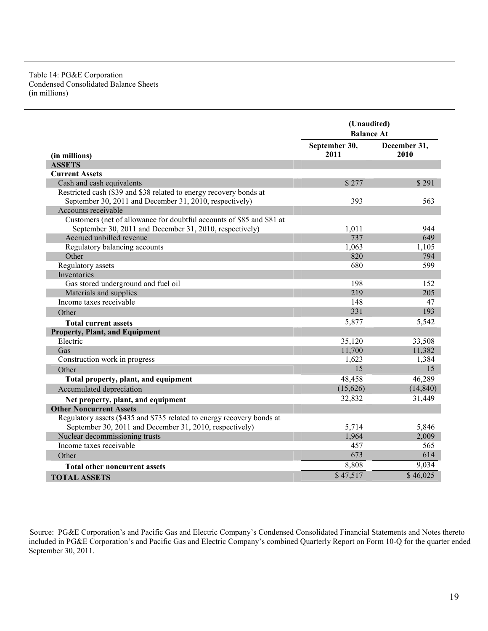#### Table 14: PG&E Corporation Condensed Consolidated Balance Sheets (in millions)

|                                                                        | (Unaudited)           |                      |
|------------------------------------------------------------------------|-----------------------|----------------------|
|                                                                        | <b>Balance At</b>     |                      |
| (in millions)                                                          | September 30,<br>2011 | December 31,<br>2010 |
| <b>ASSETS</b>                                                          |                       |                      |
| <b>Current Assets</b>                                                  |                       |                      |
| Cash and cash equivalents                                              | \$277                 | \$291                |
| Restricted cash (\$39 and \$38 related to energy recovery bonds at     |                       |                      |
| September 30, 2011 and December 31, 2010, respectively)                | 393                   | 563                  |
| Accounts receivable                                                    |                       |                      |
| Customers (net of allowance for doubtful accounts of \$85 and \$81 at  |                       |                      |
| September 30, 2011 and December 31, 2010, respectively)                | 1,011                 | 944                  |
| Accrued unbilled revenue                                               | 737                   | 649                  |
| Regulatory balancing accounts                                          | 1,063                 | 1,105                |
| Other                                                                  | 820                   | 794                  |
| Regulatory assets                                                      | 680                   | 599                  |
| Inventories                                                            |                       |                      |
| Gas stored underground and fuel oil                                    | 198                   | 152                  |
| Materials and supplies                                                 | 219                   | 205                  |
| Income taxes receivable                                                | 148                   | 47                   |
| Other                                                                  | 331                   | 193                  |
| <b>Total current assets</b>                                            | 5,877                 | 5,542                |
| <b>Property, Plant, and Equipment</b>                                  |                       |                      |
| Electric                                                               | 35,120                | 33,508               |
| Gas                                                                    | 11,700                | 11,382               |
| Construction work in progress                                          | 1,623                 | 1,384                |
| Other                                                                  | 15                    | 15                   |
| Total property, plant, and equipment                                   | 48,458                | 46,289               |
| Accumulated depreciation                                               | (15,626)              | (14, 840)            |
| Net property, plant, and equipment                                     | 32,832                | 31,449               |
| <b>Other Noncurrent Assets</b>                                         |                       |                      |
| Regulatory assets (\$435 and \$735 related to energy recovery bonds at |                       |                      |
| September 30, 2011 and December 31, 2010, respectively)                | 5,714                 | 5,846                |
| Nuclear decommissioning trusts                                         | 1,964                 | 2,009                |
| Income taxes receivable                                                | 457                   | 565                  |
| Other                                                                  | 673                   | 614                  |
| <b>Total other noncurrent assets</b>                                   | 8,808                 | 9,034                |
| <b>TOTAL ASSETS</b>                                                    | \$47,517              | \$46,025             |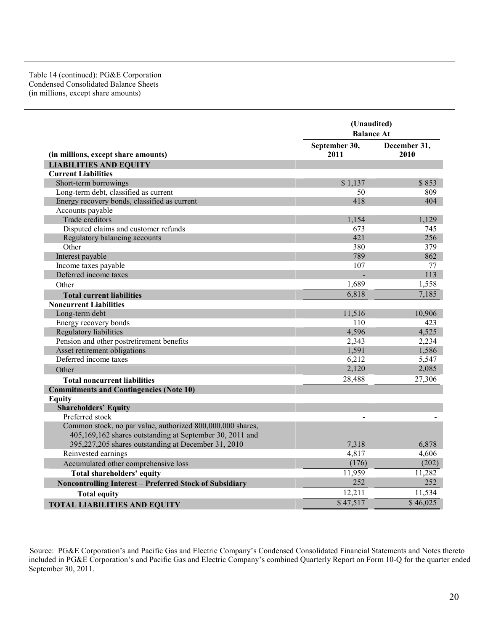## Table 14 (continued): PG&E Corporation Condensed Consolidated Balance Sheets (in millions, except share amounts)

|                                                                | (Unaudited)           |                      |
|----------------------------------------------------------------|-----------------------|----------------------|
|                                                                | <b>Balance At</b>     |                      |
| (in millions, except share amounts)                            | September 30,<br>2011 | December 31,<br>2010 |
| <b>LIABILITIES AND EQUITY</b>                                  |                       |                      |
| <b>Current Liabilities</b>                                     |                       |                      |
| Short-term borrowings                                          | \$1,137               | \$853                |
| Long-term debt, classified as current                          | 50                    | 809                  |
| Energy recovery bonds, classified as current                   | 418                   | 404                  |
| Accounts payable                                               |                       |                      |
| Trade creditors                                                | 1,154                 | 1,129                |
| Disputed claims and customer refunds                           | 673                   | 745                  |
| Regulatory balancing accounts                                  | 421                   | 256                  |
| Other                                                          | 380                   | 379                  |
| Interest payable                                               | 789                   | 862                  |
| Income taxes payable                                           | 107                   | 77                   |
| Deferred income taxes                                          |                       | 113                  |
| Other                                                          | 1,689                 | 1,558                |
| <b>Total current liabilities</b>                               | 6,818                 | 7,185                |
| <b>Noncurrent Liabilities</b>                                  |                       |                      |
| Long-term debt                                                 | 11,516                | 10,906               |
| Energy recovery bonds                                          | 110                   | 423                  |
| <b>Regulatory liabilities</b>                                  | 4,596                 | 4,525                |
| Pension and other postretirement benefits                      | 2,343                 | 2,234                |
| Asset retirement obligations                                   | 1,591                 | 1,586                |
| Deferred income taxes                                          | 6,212                 | 5,547                |
| Other                                                          | 2,120                 | 2,085                |
| <b>Total noncurrent liabilities</b>                            | 28,488                | 27,306               |
| <b>Commitments and Contingencies (Note 10)</b>                 |                       |                      |
| <b>Equity</b>                                                  |                       |                      |
| <b>Shareholders' Equity</b>                                    |                       |                      |
| Preferred stock                                                |                       |                      |
| Common stock, no par value, authorized 800,000,000 shares,     |                       |                      |
| 405,169,162 shares outstanding at September 30, 2011 and       |                       |                      |
| 395,227,205 shares outstanding at December 31, 2010            | 7,318                 | 6,878                |
| Reinvested earnings                                            | 4,817                 | 4,606                |
| Accumulated other comprehensive loss                           | (176)                 | (202)                |
| Total shareholders' equity                                     | 11,959                | 11,282               |
| <b>Noncontrolling Interest - Preferred Stock of Subsidiary</b> | 252                   | 252                  |
| <b>Total equity</b>                                            | 12,211                | 11,534               |
| <b>TOTAL LIABILITIES AND EQUITY</b>                            | \$47,517              | $\sqrt{$}46,025$     |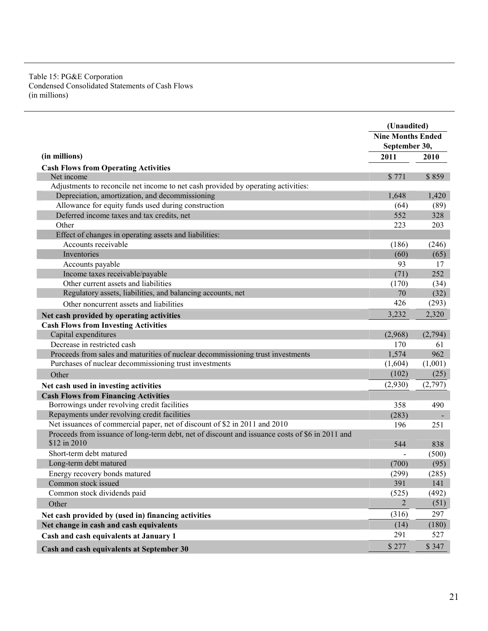## Table 15: PG&E Corporation Condensed Consolidated Statements of Cash Flows (in millions)

|                                                                                                                 | (Unaudited)<br><b>Nine Months Ended</b> |         |
|-----------------------------------------------------------------------------------------------------------------|-----------------------------------------|---------|
|                                                                                                                 |                                         |         |
|                                                                                                                 | September 30,                           |         |
| (in millions)                                                                                                   | 2011                                    | 2010    |
| <b>Cash Flows from Operating Activities</b>                                                                     |                                         |         |
| Net income                                                                                                      | \$771                                   | \$859   |
| Adjustments to reconcile net income to net cash provided by operating activities:                               |                                         |         |
| Depreciation, amortization, and decommissioning                                                                 | 1,648                                   | 1,420   |
| Allowance for equity funds used during construction                                                             | (64)                                    | (89)    |
| Deferred income taxes and tax credits, net                                                                      | 552                                     | 328     |
| Other                                                                                                           | 223                                     | 203     |
| Effect of changes in operating assets and liabilities:                                                          |                                         |         |
| Accounts receivable                                                                                             | (186)                                   | (246)   |
| Inventories                                                                                                     | (60)                                    | (65)    |
| Accounts payable                                                                                                | 93                                      | 17      |
| Income taxes receivable/payable                                                                                 | (71)                                    | 252     |
| Other current assets and liabilities                                                                            | (170)                                   | (34)    |
| Regulatory assets, liabilities, and balancing accounts, net                                                     | 70                                      | (32)    |
| Other noncurrent assets and liabilities                                                                         | 426                                     | (293)   |
| Net cash provided by operating activities                                                                       | 3,232                                   | 2,320   |
| <b>Cash Flows from Investing Activities</b>                                                                     |                                         |         |
| Capital expenditures                                                                                            | (2,968)                                 | (2,794) |
| Decrease in restricted cash                                                                                     | 170                                     | 61      |
| Proceeds from sales and maturities of nuclear decommissioning trust investments                                 | 1,574                                   | 962     |
| Purchases of nuclear decommissioning trust investments                                                          | (1,604)                                 | (1,001) |
| Other                                                                                                           | (102)                                   | (25)    |
| Net cash used in investing activities                                                                           | (2,930)                                 | (2,797) |
| <b>Cash Flows from Financing Activities</b>                                                                     |                                         |         |
| Borrowings under revolving credit facilities                                                                    | 358                                     | 490     |
| Repayments under revolving credit facilities                                                                    | (283)                                   |         |
| Net issuances of commercial paper, net of discount of \$2 in 2011 and 2010                                      | 196                                     | 251     |
| Proceeds from issuance of long-term debt, net of discount and issuance costs of \$6 in 2011 and<br>\$12 in 2010 | 544                                     | 838     |
| Short-term debt matured                                                                                         |                                         | (500)   |
| Long-term debt matured                                                                                          | (700)                                   | (95)    |
| Energy recovery bonds matured                                                                                   | (299)                                   | (285)   |
| Common stock issued                                                                                             | 391                                     | 141     |
| Common stock dividends paid                                                                                     | (525)                                   | (492)   |
| Other                                                                                                           | 2                                       | (51)    |
| Net cash provided by (used in) financing activities                                                             | (316)                                   | 297     |
| Net change in cash and cash equivalents                                                                         | (14)                                    | (180)   |
| Cash and cash equivalents at January 1                                                                          | 291                                     | 527     |
| Cash and cash equivalents at September 30                                                                       | \$277                                   | \$347   |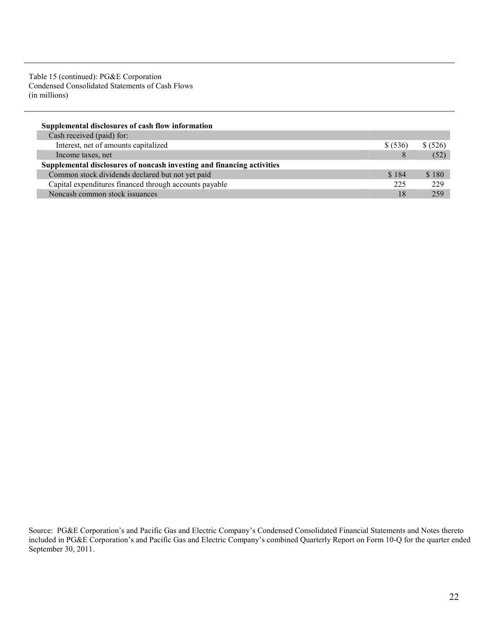Table 15 (continued): PG&E Corporation Condensed Consolidated Statements of Cash Flows (in millions)

| Supplemental disclosures of cash flow information                      |          |          |
|------------------------------------------------------------------------|----------|----------|
| Cash received (paid) for:                                              |          |          |
| Interest, net of amounts capitalized                                   | \$ (536) | \$ (526) |
| Income taxes, net                                                      | 8        | (52)     |
| Supplemental disclosures of noncash investing and financing activities |          |          |
| Common stock dividends declared but not yet paid                       | \$184    | \$180    |
| Capital expenditures financed through accounts payable                 | 225      | 229      |
| Noncash common stock issuances                                         | 18       | 259      |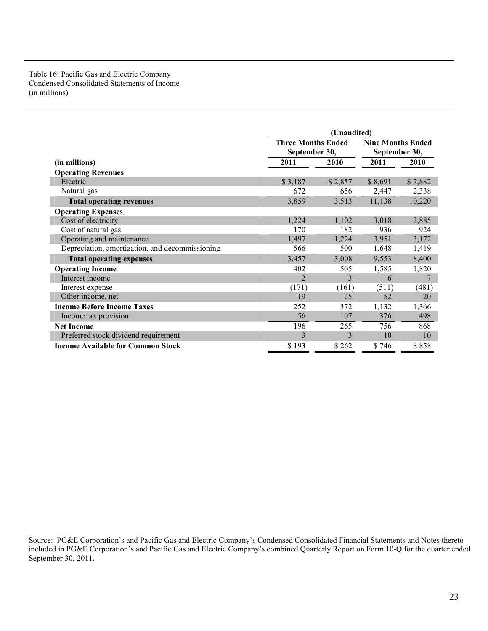## Table 16: Pacific Gas and Electric Company Condensed Consolidated Statements of Income (in millions)

|                                                 |                                            | (Unaudited) |         |                                           |  |
|-------------------------------------------------|--------------------------------------------|-------------|---------|-------------------------------------------|--|
|                                                 | <b>Three Months Ended</b><br>September 30, |             |         | <b>Nine Months Ended</b><br>September 30, |  |
| (in millions)                                   | 2011                                       | 2010        | 2011    | 2010                                      |  |
| <b>Operating Revenues</b>                       |                                            |             |         |                                           |  |
| Electric                                        | \$3,187                                    | \$2,857     | \$8,691 | \$7,882                                   |  |
| Natural gas                                     | 672                                        | 656         | 2,447   | 2,338                                     |  |
| <b>Total operating revenues</b>                 | 3,859                                      | 3,513       | 11,138  | 10,220                                    |  |
| <b>Operating Expenses</b>                       |                                            |             |         |                                           |  |
| Cost of electricity                             | 1,224                                      | 1,102       | 3,018   | 2,885                                     |  |
| Cost of natural gas                             | 170                                        | 182         | 936     | 924                                       |  |
| Operating and maintenance                       | 1,497                                      | 1,224       | 3,951   | 3,172                                     |  |
| Depreciation, amortization, and decommissioning | 566                                        | 500         | 1,648   | 1,419                                     |  |
| <b>Total operating expenses</b>                 | 3,457                                      | 3,008       | 9,553   | 8,400                                     |  |
| <b>Operating Income</b>                         | 402                                        | 505         | 1,585   | 1,820                                     |  |
| Interest income                                 | $\mathfrak{D}$                             | 3           | 6       | 7                                         |  |
| Interest expense                                | (171)                                      | (161)       | (511)   | (481)                                     |  |
| Other income, net                               | 19                                         | 25          | 52      | 20                                        |  |
| <b>Income Before Income Taxes</b>               | 252                                        | 372         | 1,132   | 1,366                                     |  |
| Income tax provision                            | 56                                         | 107         | 376     | 498                                       |  |
| <b>Net Income</b>                               | 196                                        | 265         | 756     | 868                                       |  |
| Preferred stock dividend requirement            | 3                                          | 3           | 10      | 10                                        |  |
| <b>Income Available for Common Stock</b>        | \$193                                      | \$262       | \$746   | \$858                                     |  |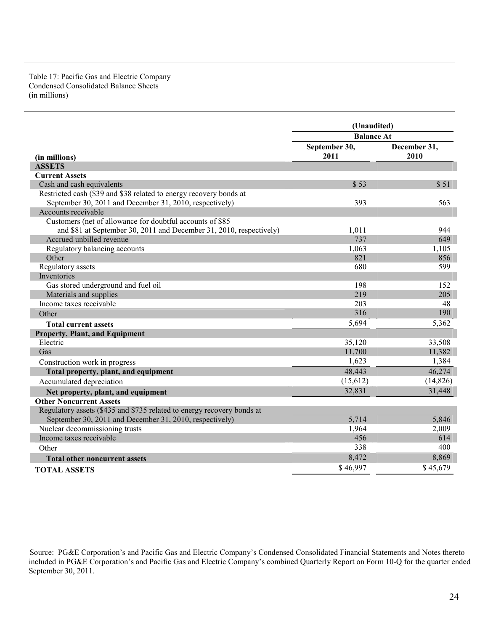## Table 17: Pacific Gas and Electric Company Condensed Consolidated Balance Sheets (in millions)

|                                                                        | (Unaudited)           |                      |  |
|------------------------------------------------------------------------|-----------------------|----------------------|--|
|                                                                        | <b>Balance At</b>     |                      |  |
| (in millions)                                                          | September 30,<br>2011 | December 31,<br>2010 |  |
| <b>ASSETS</b>                                                          |                       |                      |  |
| <b>Current Assets</b>                                                  |                       |                      |  |
| Cash and cash equivalents                                              | \$53                  | \$51                 |  |
| Restricted cash (\$39 and \$38 related to energy recovery bonds at     |                       |                      |  |
| September 30, 2011 and December 31, 2010, respectively)                | 393                   | 563                  |  |
| Accounts receivable                                                    |                       |                      |  |
| Customers (net of allowance for doubtful accounts of \$85              |                       |                      |  |
| and \$81 at September 30, 2011 and December 31, 2010, respectively)    | 1,011                 | 944                  |  |
| Accrued unbilled revenue                                               | 737                   | 649                  |  |
| Regulatory balancing accounts                                          | 1,063                 | 1,105                |  |
| Other                                                                  | 821                   | 856                  |  |
| Regulatory assets                                                      | 680                   | 599                  |  |
| <b>Inventories</b>                                                     |                       |                      |  |
| Gas stored underground and fuel oil                                    | 198                   | 152                  |  |
| Materials and supplies                                                 | 219                   | 205                  |  |
| Income taxes receivable                                                | 203                   | 48                   |  |
| Other                                                                  | 316                   | 190                  |  |
| <b>Total current assets</b>                                            | 5,694                 | 5,362                |  |
| <b>Property, Plant, and Equipment</b>                                  |                       |                      |  |
| Electric                                                               | 35,120                | 33,508               |  |
| Gas                                                                    | 11,700                | 11,382               |  |
| Construction work in progress                                          | 1,623                 | 1,384                |  |
| Total property, plant, and equipment                                   | 48,443                | 46,274               |  |
| Accumulated depreciation                                               | (15,612)              | (14, 826)            |  |
| Net property, plant, and equipment                                     | 32,831                | 31,448               |  |
| <b>Other Noncurrent Assets</b>                                         |                       |                      |  |
| Regulatory assets (\$435 and \$735 related to energy recovery bonds at |                       |                      |  |
| September 30, 2011 and December 31, 2010, respectively)                | 5,714                 | 5,846                |  |
| Nuclear decommissioning trusts                                         | 1,964                 | 2,009                |  |
| Income taxes receivable                                                | 456                   | 614                  |  |
| Other                                                                  | 338                   | 400                  |  |
| <b>Total other noncurrent assets</b>                                   | 8,472                 | 8,869                |  |
| <b>TOTAL ASSETS</b>                                                    | \$46,997              | \$45,679             |  |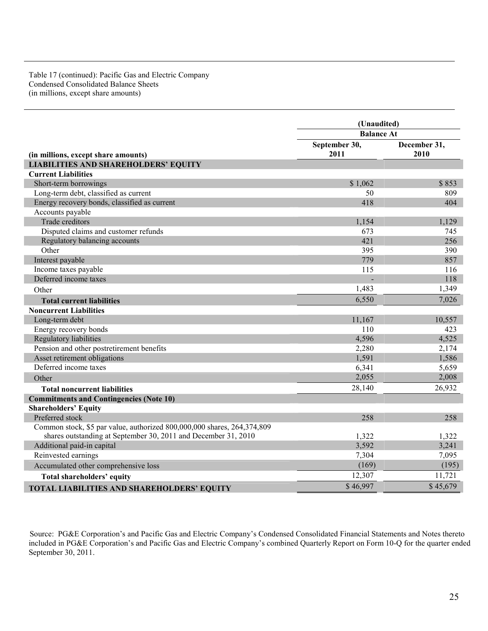## Table 17 (continued): Pacific Gas and Electric Company Condensed Consolidated Balance Sheets (in millions, except share amounts)

|                                                                         | (Unaudited)       |              |  |
|-------------------------------------------------------------------------|-------------------|--------------|--|
|                                                                         | <b>Balance At</b> |              |  |
|                                                                         | September 30,     | December 31, |  |
| (in millions, except share amounts)                                     | 2011              | 2010         |  |
| <b>LIABILITIES AND SHAREHOLDERS' EQUITY</b>                             |                   |              |  |
| <b>Current Liabilities</b>                                              |                   |              |  |
| Short-term borrowings                                                   | \$1,062           | \$853        |  |
| Long-term debt, classified as current                                   | 50                | 809          |  |
| Energy recovery bonds, classified as current                            | 418               | 404          |  |
| Accounts payable                                                        |                   |              |  |
| Trade creditors                                                         | 1,154             | 1,129        |  |
| Disputed claims and customer refunds                                    | 673               | 745          |  |
| Regulatory balancing accounts                                           | 421               | 256          |  |
| Other                                                                   | 395               | 390          |  |
| Interest payable                                                        | 779               | 857          |  |
| Income taxes payable                                                    | 115               | 116          |  |
| Deferred income taxes                                                   |                   | 118          |  |
| Other                                                                   | 1,483             | 1,349        |  |
| <b>Total current liabilities</b>                                        | 6,550             | 7,026        |  |
| <b>Noncurrent Liabilities</b>                                           |                   |              |  |
| Long-term debt                                                          | 11,167            | 10,557       |  |
| Energy recovery bonds                                                   | 110               | 423          |  |
| Regulatory liabilities                                                  | 4,596             | 4,525        |  |
| Pension and other postretirement benefits                               | 2,280             | 2,174        |  |
| Asset retirement obligations                                            | 1,591             | 1,586        |  |
| Deferred income taxes                                                   | 6,341             | 5,659        |  |
| Other                                                                   | 2,055             | 2,008        |  |
| <b>Total noncurrent liabilities</b>                                     | 28,140            | 26,932       |  |
| <b>Commitments and Contingencies (Note 10)</b>                          |                   |              |  |
| <b>Shareholders' Equity</b>                                             |                   |              |  |
| Preferred stock                                                         | 258               | 258          |  |
| Common stock, \$5 par value, authorized 800,000,000 shares, 264,374,809 |                   |              |  |
| shares outstanding at September 30, 2011 and December 31, 2010          | 1,322             | 1,322        |  |
| Additional paid-in capital                                              | 3,592             | 3,241        |  |
| Reinvested earnings                                                     | 7,304             | 7,095        |  |
| Accumulated other comprehensive loss                                    | (169)             | (195)        |  |
| <b>Total shareholders' equity</b>                                       | 12,307            | 11,721       |  |
| <b>TOTAL LIABILITIES AND SHAREHOLDERS' EQUITY</b>                       | \$46,997          | \$45,679     |  |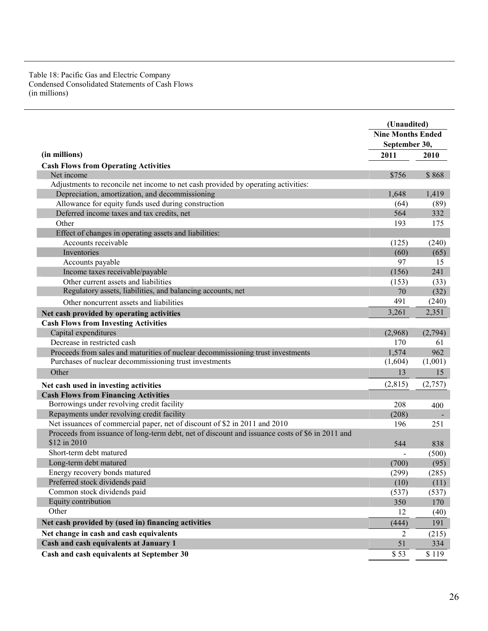### Table 18: Pacific Gas and Electric Company Condensed Consolidated Statements of Cash Flows (in millions)

|                                                                                                 |                          | (Unaudited)         |  |
|-------------------------------------------------------------------------------------------------|--------------------------|---------------------|--|
|                                                                                                 | <b>Nine Months Ended</b> |                     |  |
|                                                                                                 | September 30,            |                     |  |
| (in millions)                                                                                   | 2011                     | 2010                |  |
| <b>Cash Flows from Operating Activities</b>                                                     |                          |                     |  |
| Net income                                                                                      | \$756                    | \$868               |  |
| Adjustments to reconcile net income to net cash provided by operating activities:               |                          |                     |  |
| Depreciation, amortization, and decommissioning                                                 | 1,648                    | 1,419               |  |
| Allowance for equity funds used during construction                                             | (64)                     | (89)                |  |
| Deferred income taxes and tax credits, net                                                      | 564                      | 332                 |  |
| Other                                                                                           | 193                      | 175                 |  |
| Effect of changes in operating assets and liabilities:                                          |                          |                     |  |
| Accounts receivable                                                                             | (125)                    | (240)               |  |
| Inventories                                                                                     | (60)                     | (65)                |  |
| Accounts payable                                                                                | 97                       | 15                  |  |
| Income taxes receivable/payable                                                                 | (156)                    | 241                 |  |
| Other current assets and liabilities                                                            | (153)                    | (33)                |  |
| Regulatory assets, liabilities, and balancing accounts, net                                     | 70                       | (32)                |  |
| Other noncurrent assets and liabilities                                                         | 491                      | (240)               |  |
| Net cash provided by operating activities                                                       | 3,261                    | 2,351               |  |
| <b>Cash Flows from Investing Activities</b>                                                     |                          |                     |  |
| Capital expenditures                                                                            | (2,968)                  | (2,794)             |  |
| Decrease in restricted cash                                                                     | 170                      | 61                  |  |
| Proceeds from sales and maturities of nuclear decommissioning trust investments                 | 1,574                    | 962                 |  |
| Purchases of nuclear decommissioning trust investments                                          | (1,604)                  | (1,001)             |  |
| Other                                                                                           | 13                       | 15                  |  |
| Net cash used in investing activities                                                           | (2,815)                  | (2,757)             |  |
| <b>Cash Flows from Financing Activities</b>                                                     |                          |                     |  |
| Borrowings under revolving credit facility                                                      | 208                      | 400                 |  |
| Repayments under revolving credit facility                                                      | (208)                    |                     |  |
| Net issuances of commercial paper, net of discount of \$2 in 2011 and 2010                      | 196                      | 251                 |  |
| Proceeds from issuance of long-term debt, net of discount and issuance costs of \$6 in 2011 and |                          |                     |  |
| \$12 in 2010                                                                                    | 544                      | 838                 |  |
| Short-term debt matured                                                                         |                          | (500)               |  |
| Long-term debt matured                                                                          | (700)                    | (95)                |  |
| Energy recovery bonds matured                                                                   | (299)                    | (285)               |  |
| Preferred stock dividends paid                                                                  | (10)                     | (11)                |  |
| Common stock dividends paid                                                                     | (537)                    | (537)               |  |
| Equity contribution                                                                             | 350                      | 170                 |  |
| Other                                                                                           | 12                       | (40)                |  |
| Net cash provided by (used in) financing activities                                             | (444)                    | 191                 |  |
| Net change in cash and cash equivalents                                                         | 2                        | (215)               |  |
| Cash and cash equivalents at January 1                                                          | 51                       | 334                 |  |
| Cash and cash equivalents at September 30                                                       | \$53                     | $\overline{\$}$ 119 |  |
|                                                                                                 |                          |                     |  |